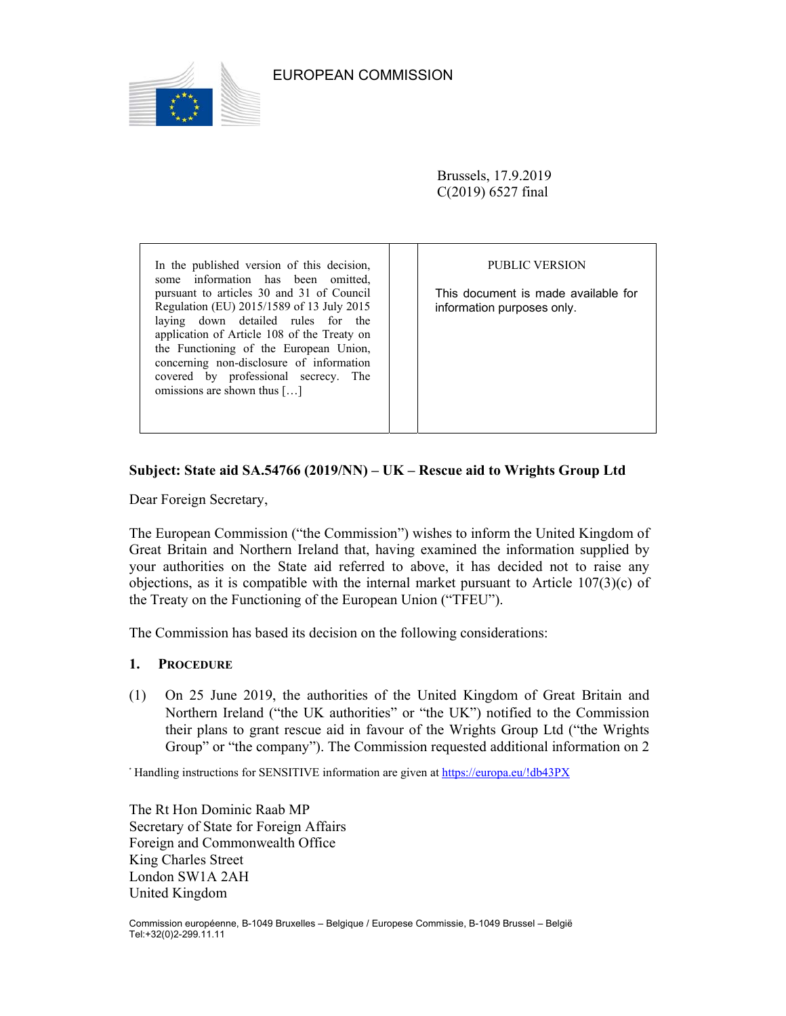

Brussels, 17.9.2019 C(2019) 6527 final

In the published version of this decision, some information has been omitted, pursuant to articles 30 and 31 of Council Regulation (EU) 2015/1589 of 13 July 2015 laying down detailed rules for the application of Article 108 of the Treaty on the Functioning of the European Union, concerning non-disclosure of information covered by professional secrecy. The omissions are shown thus […]

PUBLIC VERSION

This document is made available for information purposes only.

# **Subject: State aid SA.54766 (2019/NN) – UK – Rescue aid to Wrights Group Ltd**

Dear Foreign Secretary,

The European Commission ("the Commission") wishes to inform the United Kingdom of Great Britain and Northern Ireland that, having examined the information supplied by your authorities on the State aid referred to above, it has decided not to raise any objections, as it is compatible with the internal market pursuant to Article  $107(3)(c)$  of the Treaty on the Functioning of the European Union ("TFEU").

The Commission has based its decision on the following considerations:

### **1. PROCEDURE**

(1) On 25 June 2019, the authorities of the United Kingdom of Great Britain and Northern Ireland ("the UK authorities" or "the UK") notified to the Commission their plans to grant rescue aid in favour of the Wrights Group Ltd ("the Wrights Group" or "the company"). The Commission requested additional information on 2

\* Handling instructions for SENSITIVE information are given at https://europa.eu/!db43PX

The Rt Hon Dominic Raab MP Secretary of State for Foreign Affairs Foreign and Commonwealth Office King Charles Street London SW1A 2AH United Kingdom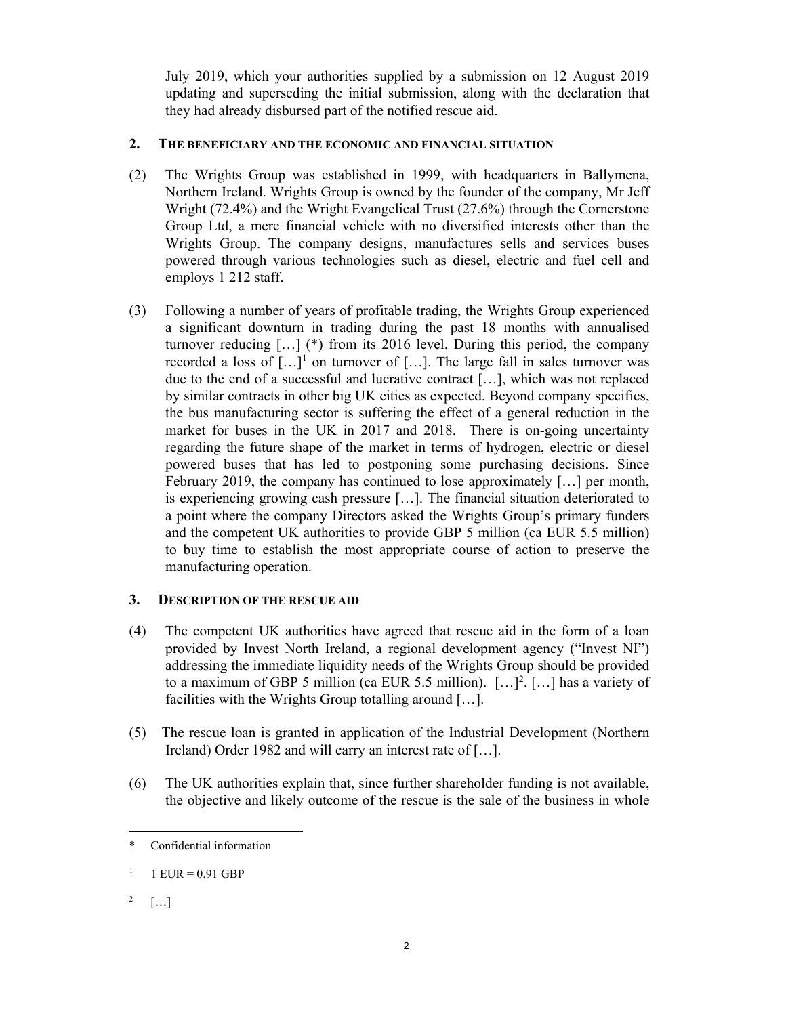July 2019, which your authorities supplied by a submission on 12 August 2019 updating and superseding the initial submission, along with the declaration that they had already disbursed part of the notified rescue aid.

# **2. THE BENEFICIARY AND THE ECONOMIC AND FINANCIAL SITUATION**

- (2) The Wrights Group was established in 1999, with headquarters in Ballymena, Northern Ireland. Wrights Group is owned by the founder of the company, Mr Jeff Wright (72.4%) and the Wright Evangelical Trust (27.6%) through the Cornerstone Group Ltd, a mere financial vehicle with no diversified interests other than the Wrights Group. The company designs, manufactures sells and services buses powered through various technologies such as diesel, electric and fuel cell and employs 1 212 staff.
- (3) Following a number of years of profitable trading, the Wrights Group experienced a significant downturn in trading during the past 18 months with annualised turnover reducing […] (\*) from its 2016 level. During this period, the company recorded a loss of  $[...]^1$  on turnover of [...]. The large fall in sales turnover was due to the end of a successful and lucrative contract […], which was not replaced by similar contracts in other big UK cities as expected. Beyond company specifics, the bus manufacturing sector is suffering the effect of a general reduction in the market for buses in the UK in 2017 and 2018. There is on-going uncertainty regarding the future shape of the market in terms of hydrogen, electric or diesel powered buses that has led to postponing some purchasing decisions. Since February 2019, the company has continued to lose approximately […] per month, is experiencing growing cash pressure […]. The financial situation deteriorated to a point where the company Directors asked the Wrights Group's primary funders and the competent UK authorities to provide GBP 5 million (ca EUR 5.5 million) to buy time to establish the most appropriate course of action to preserve the manufacturing operation.

# **3. DESCRIPTION OF THE RESCUE AID**

- (4) The competent UK authorities have agreed that rescue aid in the form of a loan provided by Invest North Ireland, a regional development agency ("Invest NI") addressing the immediate liquidity needs of the Wrights Group should be provided to a maximum of GBP 5 million (ca EUR 5.5 million).  $[\dots]^2$ . [...] has a variety of facilities with the Wrights Group totalling around […].
- (5) The rescue loan is granted in application of the Industrial Development (Northern Ireland) Order 1982 and will carry an interest rate of [...].
- (6) The UK authorities explain that, since further shareholder funding is not available, the objective and likely outcome of the rescue is the sale of the business in whole

 $\overline{a}$ \* Confidential information

<sup>1</sup>  $1$  EUR = 0.91 GBP

<sup>2</sup>  $[\dots]$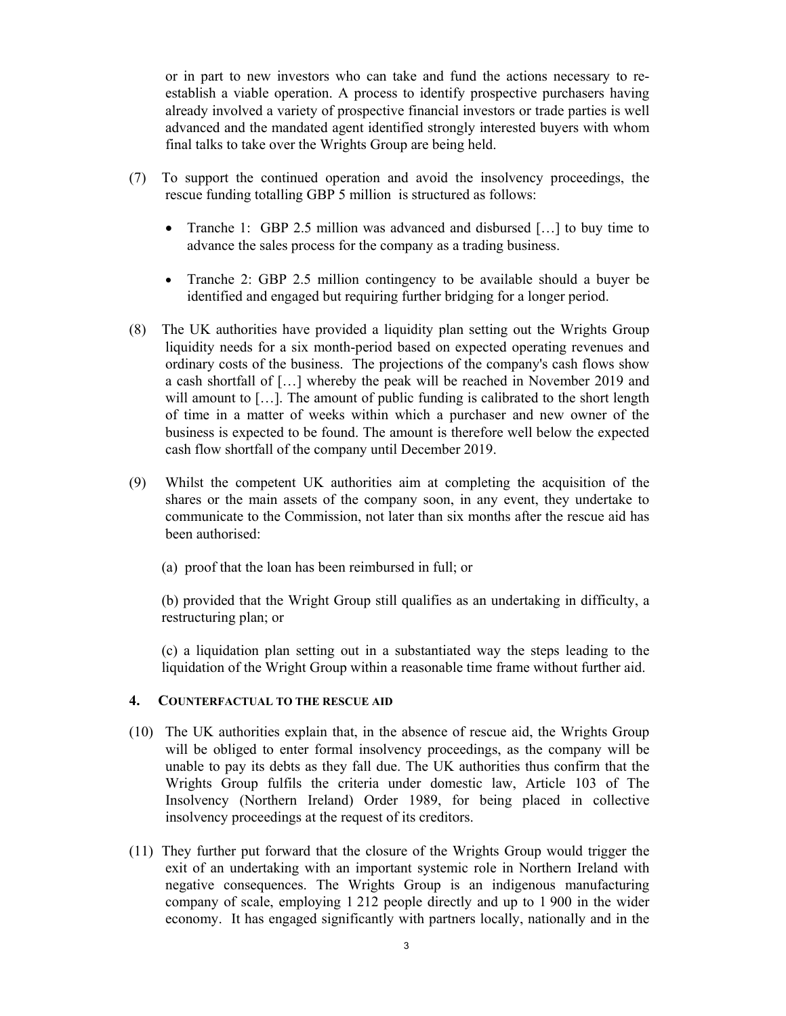or in part to new investors who can take and fund the actions necessary to reestablish a viable operation. A process to identify prospective purchasers having already involved a variety of prospective financial investors or trade parties is well advanced and the mandated agent identified strongly interested buyers with whom final talks to take over the Wrights Group are being held.

- (7) To support the continued operation and avoid the insolvency proceedings, the rescue funding totalling GBP 5 million is structured as follows:
	- Tranche 1: GBP 2.5 million was advanced and disbursed […] to buy time to advance the sales process for the company as a trading business.
	- Tranche 2: GBP 2.5 million contingency to be available should a buyer be identified and engaged but requiring further bridging for a longer period.
- (8) The UK authorities have provided a liquidity plan setting out the Wrights Group liquidity needs for a six month-period based on expected operating revenues and ordinary costs of the business. The projections of the company's cash flows show a cash shortfall of […] whereby the peak will be reached in November 2019 and will amount to  $[\dots]$ . The amount of public funding is calibrated to the short length of time in a matter of weeks within which a purchaser and new owner of the business is expected to be found. The amount is therefore well below the expected cash flow shortfall of the company until December 2019.
- (9) Whilst the competent UK authorities aim at completing the acquisition of the shares or the main assets of the company soon, in any event, they undertake to communicate to the Commission, not later than six months after the rescue aid has been authorised:
	- (a) proof that the loan has been reimbursed in full; or

(b) provided that the Wright Group still qualifies as an undertaking in difficulty, a restructuring plan; or

(c) a liquidation plan setting out in a substantiated way the steps leading to the liquidation of the Wright Group within a reasonable time frame without further aid.

### **4. COUNTERFACTUAL TO THE RESCUE AID**

- (10) The UK authorities explain that, in the absence of rescue aid, the Wrights Group will be obliged to enter formal insolvency proceedings, as the company will be unable to pay its debts as they fall due. The UK authorities thus confirm that the Wrights Group fulfils the criteria under domestic law, Article 103 of The Insolvency (Northern Ireland) Order 1989, for being placed in collective insolvency proceedings at the request of its creditors.
- (11) They further put forward that the closure of the Wrights Group would trigger the exit of an undertaking with an important systemic role in Northern Ireland with negative consequences. The Wrights Group is an indigenous manufacturing company of scale, employing 1 212 people directly and up to 1 900 in the wider economy. It has engaged significantly with partners locally, nationally and in the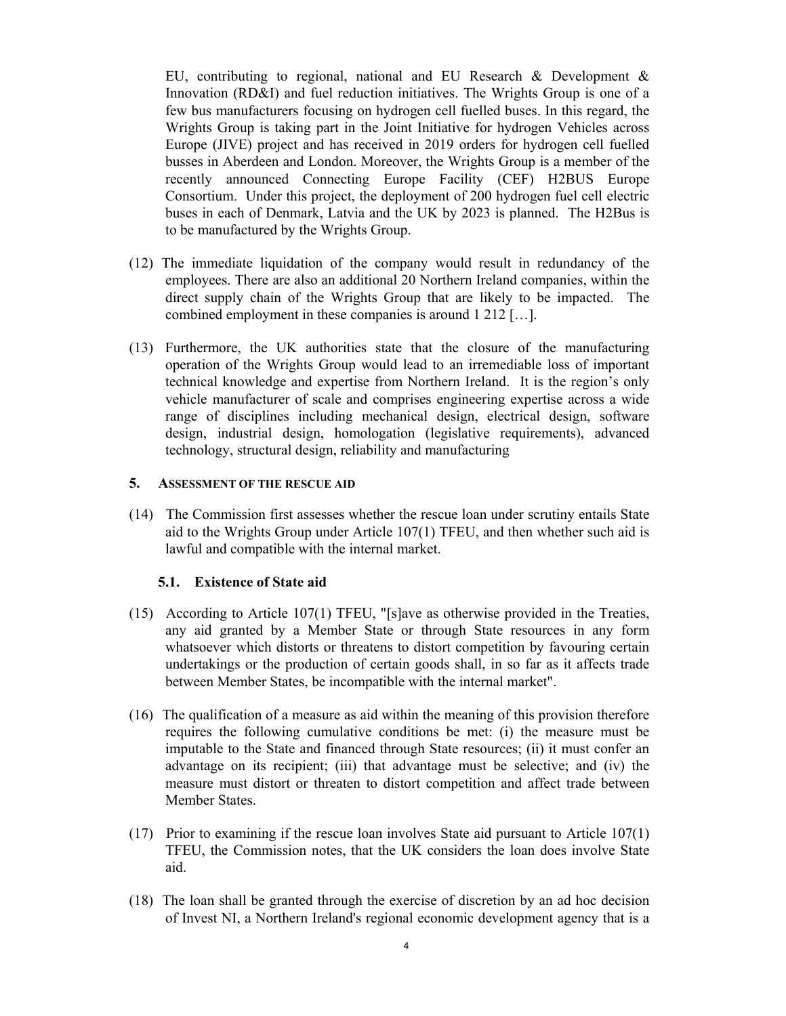EU, contributing to regional, national and EU Research & Development & Innovation (RD&I) and fuel reduction initiatives. The Wrights Group is one of a few bus manufacturers focusing on hydrogen cell fuelled buses. In this regard, the Wrights Group is taking part in the Joint Initiative for hydrogen Vehicles across Europe (JIVE) project and has received in 2019 orders for hydrogen cell fuelled busses in Aberdeen and London. Moreover, the Wrights Group is a member of the recently announced Connecting Europe Facility (CEF) H2BUS Europe Consortium. Under this project, the deployment of 200 hydrogen fuel cell electric buses in each of Denmark, Latvia and the UK by 2023 is planned. The H2Bus is to be manufactured by the Wrights Group.

- (12) The immediate liquidation of the company would result in redundancy of the employees. There are also an additional 20 Northern Ireland companies, within the direct supply chain of the Wrights Group that are likely to be impacted. The combined employment in these companies is around 1 212 […].
- (13) Furthermore, the UK authorities state that the closure of the manufacturing operation of the Wrights Group would lead to an irremediable loss of important technical knowledge and expertise from Northern Ireland. It is the region's only vehicle manufacturer of scale and comprises engineering expertise across a wide range of disciplines including mechanical design, electrical design, software design, industrial design, homologation (legislative requirements), advanced technology, structural design, reliability and manufacturing

### **5. ASSESSMENT OF THE RESCUE AID**

(14) The Commission first assesses whether the rescue loan under scrutiny entails State aid to the Wrights Group under Article 107(1) TFEU, and then whether such aid is lawful and compatible with the internal market.

### **5.1. Existence of State aid**

- (15) According to Article 107(1) TFEU, "[s]ave as otherwise provided in the Treaties, any aid granted by a Member State or through State resources in any form whatsoever which distorts or threatens to distort competition by favouring certain undertakings or the production of certain goods shall, in so far as it affects trade between Member States, be incompatible with the internal market".
- (16) The qualification of a measure as aid within the meaning of this provision therefore requires the following cumulative conditions be met: (i) the measure must be imputable to the State and financed through State resources; (ii) it must confer an advantage on its recipient; (iii) that advantage must be selective; and (iv) the measure must distort or threaten to distort competition and affect trade between Member States.
- (17) Prior to examining if the rescue loan involves State aid pursuant to Article 107(1) TFEU, the Commission notes, that the UK considers the loan does involve State aid.
- (18) The loan shall be granted through the exercise of discretion by an ad hoc decision of Invest NI, a Northern Ireland's regional economic development agency that is a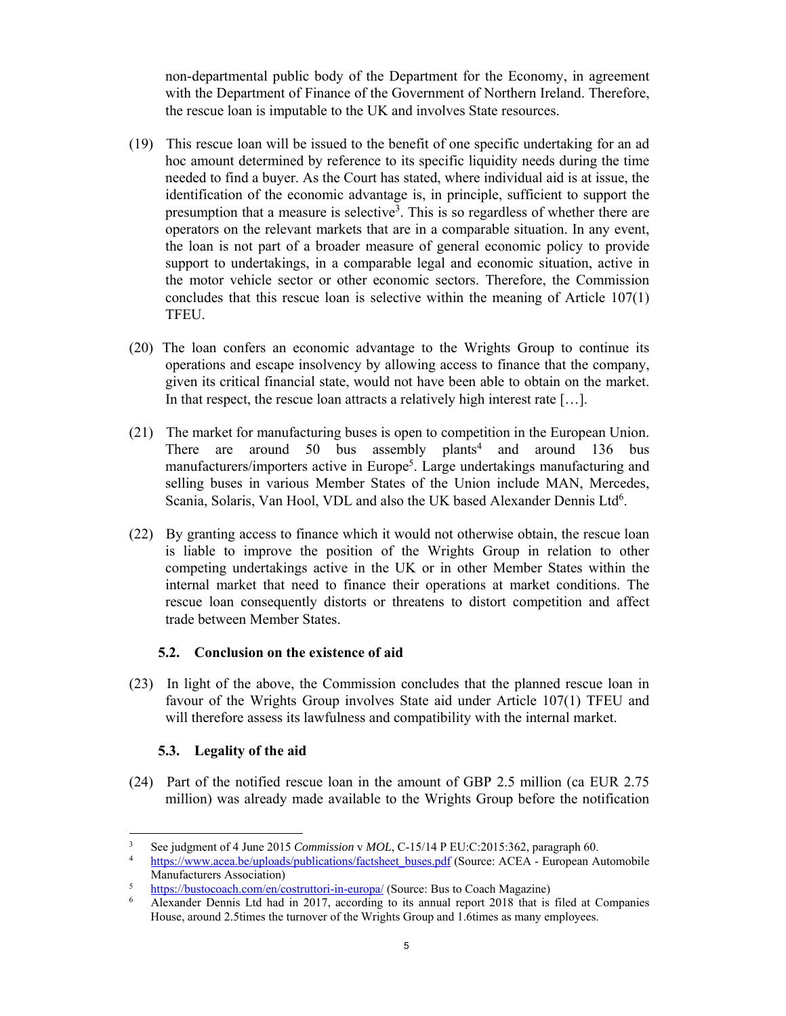non-departmental public body of the Department for the Economy, in agreement with the Department of Finance of the Government of Northern Ireland. Therefore, the rescue loan is imputable to the UK and involves State resources.

- (19) This rescue loan will be issued to the benefit of one specific undertaking for an ad hoc amount determined by reference to its specific liquidity needs during the time needed to find a buyer. As the Court has stated, where individual aid is at issue, the identification of the economic advantage is, in principle, sufficient to support the presumption that a measure is selective<sup>3</sup>. This is so regardless of whether there are operators on the relevant markets that are in a comparable situation. In any event, the loan is not part of a broader measure of general economic policy to provide support to undertakings, in a comparable legal and economic situation, active in the motor vehicle sector or other economic sectors. Therefore, the Commission concludes that this rescue loan is selective within the meaning of Article 107(1) TFEU.
- (20) The loan confers an economic advantage to the Wrights Group to continue its operations and escape insolvency by allowing access to finance that the company, given its critical financial state, would not have been able to obtain on the market. In that respect, the rescue loan attracts a relatively high interest rate […].
- (21) The market for manufacturing buses is open to competition in the European Union. There are around 50 bus assembly plants<sup>4</sup> and around  $136$  bus manufacturers/importers active in Europe<sup>5</sup>. Large undertakings manufacturing and selling buses in various Member States of the Union include MAN, Mercedes, Scania, Solaris, Van Hool, VDL and also the UK based Alexander Dennis Ltd<sup>6</sup>.
- (22) By granting access to finance which it would not otherwise obtain, the rescue loan is liable to improve the position of the Wrights Group in relation to other competing undertakings active in the UK or in other Member States within the internal market that need to finance their operations at market conditions. The rescue loan consequently distorts or threatens to distort competition and affect trade between Member States.

## **5.2. Conclusion on the existence of aid**

(23) In light of the above, the Commission concludes that the planned rescue loan in favour of the Wrights Group involves State aid under Article 107(1) TFEU and will therefore assess its lawfulness and compatibility with the internal market.

## **5.3. Legality of the aid**

(24) Part of the notified rescue loan in the amount of GBP 2.5 million (ca EUR 2.75 million) was already made available to the Wrights Group before the notification

 $\frac{1}{3}$ See judgment of 4 June 2015 *Commission* v *MOL*, C-15/14 P EU:C:2015:362, paragraph 60. 4

https://www.acea.be/uploads/publications/factsheet\_buses.pdf (Source: ACEA - European Automobile Manufacturers Association)

 $\frac{\text{https://bustocoach.com/en/costruttori-in-europa/}}{\text{Alevander Dennis Ltd had in 2017 according to its annual report 2018 that is}}$ 

Alexander Dennis Ltd had in 2017, according to its annual report 2018 that is filed at Companies House, around 2.5times the turnover of the Wrights Group and 1.6times as many employees.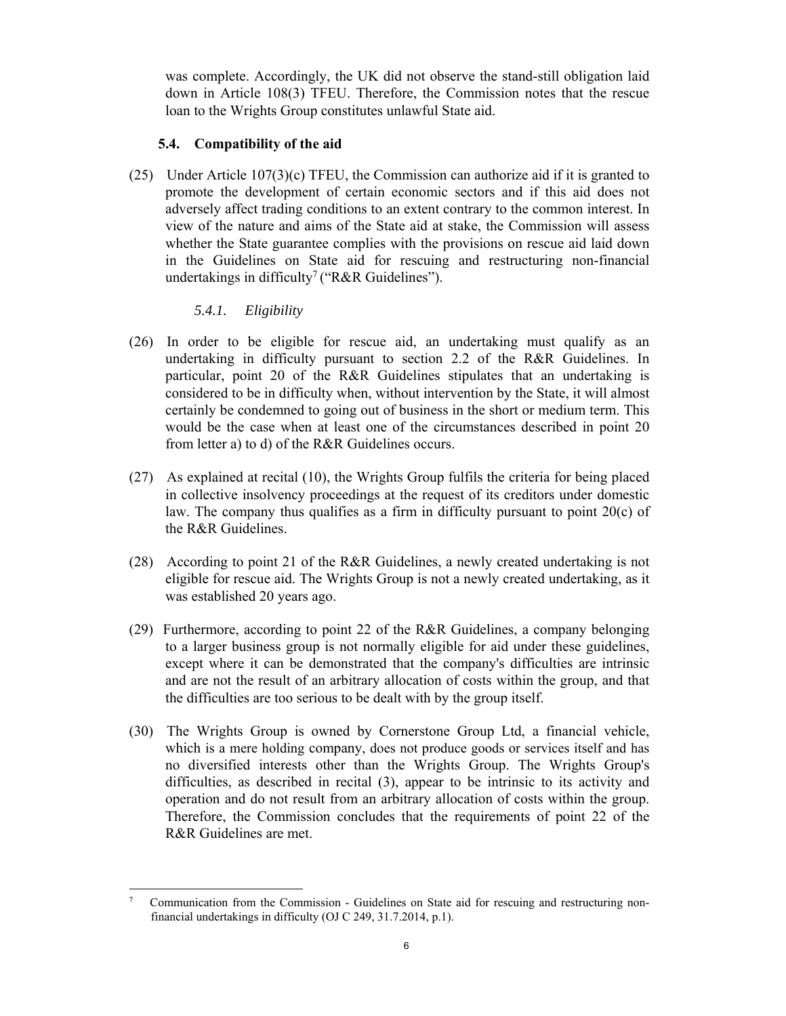was complete. Accordingly, the UK did not observe the stand-still obligation laid down in Article 108(3) TFEU. Therefore, the Commission notes that the rescue loan to the Wrights Group constitutes unlawful State aid.

# **5.4. Compatibility of the aid**

(25) Under Article 107(3)(c) TFEU, the Commission can authorize aid if it is granted to promote the development of certain economic sectors and if this aid does not adversely affect trading conditions to an extent contrary to the common interest. In view of the nature and aims of the State aid at stake, the Commission will assess whether the State guarantee complies with the provisions on rescue aid laid down in the Guidelines on State aid for rescuing and restructuring non-financial undertakings in difficulty<sup>7</sup> ("R&R Guidelines").

# *5.4.1. Eligibility*

- (26) In order to be eligible for rescue aid, an undertaking must qualify as an undertaking in difficulty pursuant to section 2.2 of the R&R Guidelines. In particular, point 20 of the R&R Guidelines stipulates that an undertaking is considered to be in difficulty when, without intervention by the State, it will almost certainly be condemned to going out of business in the short or medium term. This would be the case when at least one of the circumstances described in point 20 from letter a) to d) of the R&R Guidelines occurs.
- (27) As explained at recital (10), the Wrights Group fulfils the criteria for being placed in collective insolvency proceedings at the request of its creditors under domestic law. The company thus qualifies as a firm in difficulty pursuant to point 20(c) of the R&R Guidelines.
- (28) According to point 21 of the R&R Guidelines, a newly created undertaking is not eligible for rescue aid. The Wrights Group is not a newly created undertaking, as it was established 20 years ago.
- (29) Furthermore, according to point 22 of the R&R Guidelines, a company belonging to a larger business group is not normally eligible for aid under these guidelines, except where it can be demonstrated that the company's difficulties are intrinsic and are not the result of an arbitrary allocation of costs within the group, and that the difficulties are too serious to be dealt with by the group itself.
- (30) The Wrights Group is owned by Cornerstone Group Ltd, a financial vehicle, which is a mere holding company, does not produce goods or services itself and has no diversified interests other than the Wrights Group. The Wrights Group's difficulties, as described in recital (3), appear to be intrinsic to its activity and operation and do not result from an arbitrary allocation of costs within the group. Therefore, the Commission concludes that the requirements of point 22 of the R&R Guidelines are met.

 7 Communication from the Commission - Guidelines on State aid for rescuing and restructuring nonfinancial undertakings in difficulty (OJ C 249, 31.7.2014, p.1).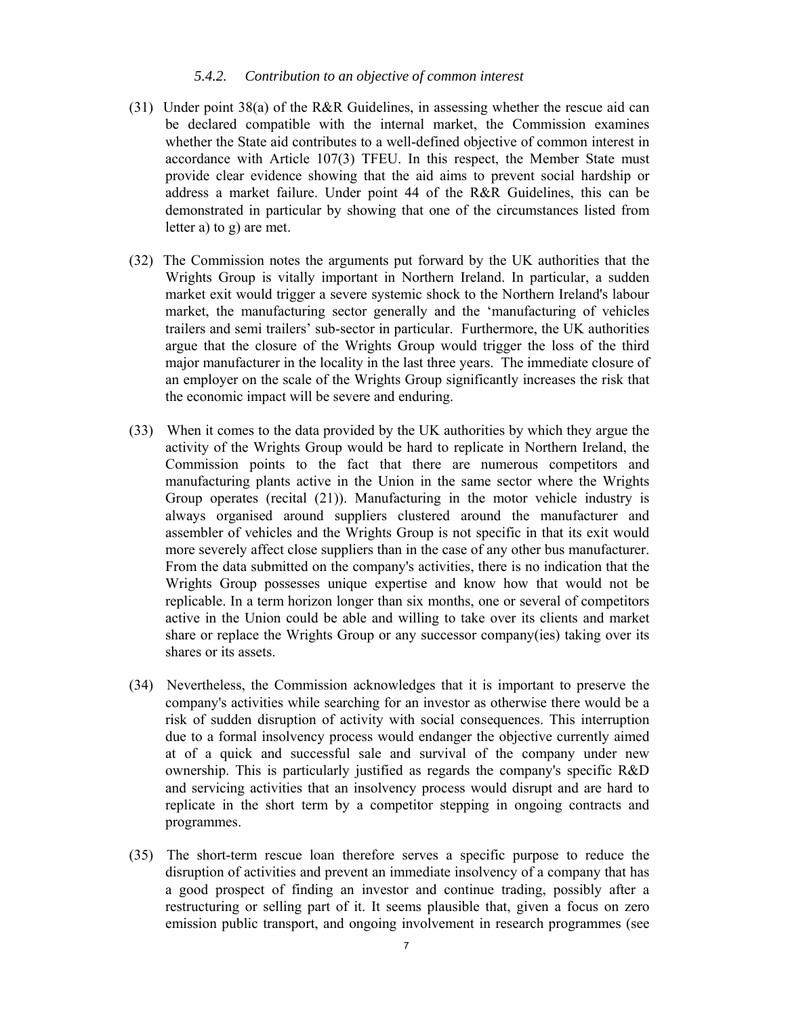#### *5.4.2. Contribution to an objective of common interest*

- (31) Under point 38(a) of the R&R Guidelines, in assessing whether the rescue aid can be declared compatible with the internal market, the Commission examines whether the State aid contributes to a well-defined objective of common interest in accordance with Article 107(3) TFEU. In this respect, the Member State must provide clear evidence showing that the aid aims to prevent social hardship or address a market failure. Under point 44 of the R&R Guidelines, this can be demonstrated in particular by showing that one of the circumstances listed from letter a) to g) are met.
- (32) The Commission notes the arguments put forward by the UK authorities that the Wrights Group is vitally important in Northern Ireland. In particular, a sudden market exit would trigger a severe systemic shock to the Northern Ireland's labour market, the manufacturing sector generally and the 'manufacturing of vehicles trailers and semi trailers' sub-sector in particular. Furthermore, the UK authorities argue that the closure of the Wrights Group would trigger the loss of the third major manufacturer in the locality in the last three years. The immediate closure of an employer on the scale of the Wrights Group significantly increases the risk that the economic impact will be severe and enduring.
- (33) When it comes to the data provided by the UK authorities by which they argue the activity of the Wrights Group would be hard to replicate in Northern Ireland, the Commission points to the fact that there are numerous competitors and manufacturing plants active in the Union in the same sector where the Wrights Group operates (recital (21)). Manufacturing in the motor vehicle industry is always organised around suppliers clustered around the manufacturer and assembler of vehicles and the Wrights Group is not specific in that its exit would more severely affect close suppliers than in the case of any other bus manufacturer. From the data submitted on the company's activities, there is no indication that the Wrights Group possesses unique expertise and know how that would not be replicable. In a term horizon longer than six months, one or several of competitors active in the Union could be able and willing to take over its clients and market share or replace the Wrights Group or any successor company(ies) taking over its shares or its assets.
- (34) Nevertheless, the Commission acknowledges that it is important to preserve the company's activities while searching for an investor as otherwise there would be a risk of sudden disruption of activity with social consequences. This interruption due to a formal insolvency process would endanger the objective currently aimed at of a quick and successful sale and survival of the company under new ownership. This is particularly justified as regards the company's specific R&D and servicing activities that an insolvency process would disrupt and are hard to replicate in the short term by a competitor stepping in ongoing contracts and programmes.
- (35) The short-term rescue loan therefore serves a specific purpose to reduce the disruption of activities and prevent an immediate insolvency of a company that has a good prospect of finding an investor and continue trading, possibly after a restructuring or selling part of it. It seems plausible that, given a focus on zero emission public transport, and ongoing involvement in research programmes (see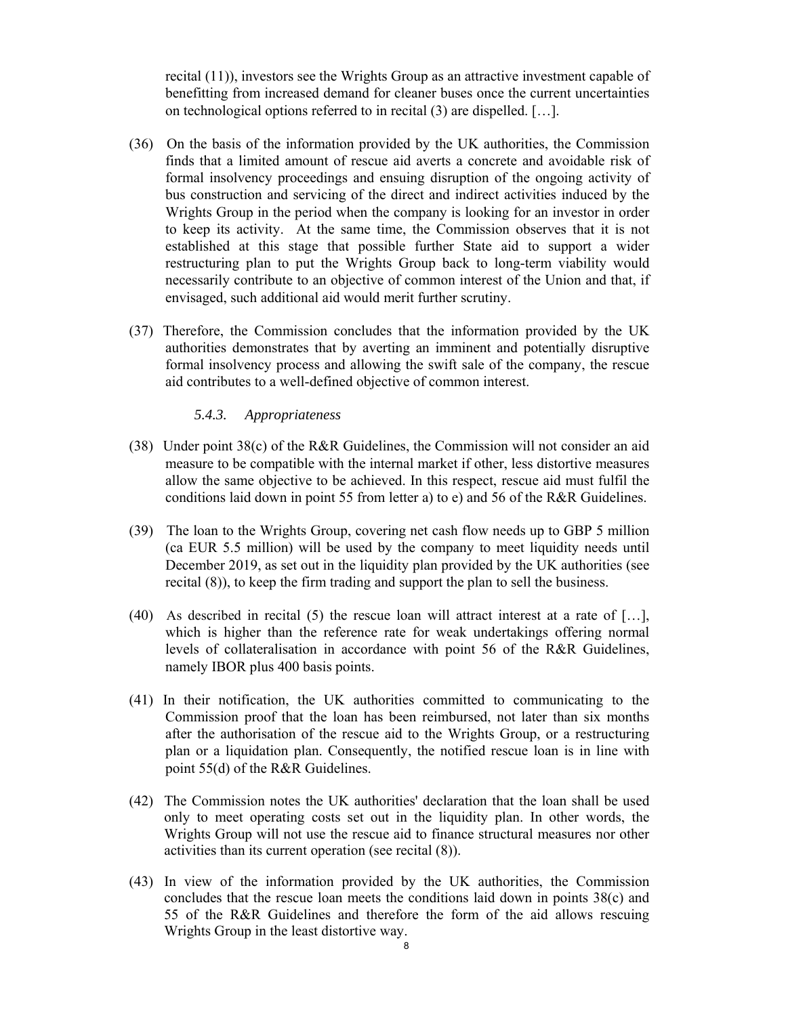recital (11)), investors see the Wrights Group as an attractive investment capable of benefitting from increased demand for cleaner buses once the current uncertainties on technological options referred to in recital (3) are dispelled. […].

- (36) On the basis of the information provided by the UK authorities, the Commission finds that a limited amount of rescue aid averts a concrete and avoidable risk of formal insolvency proceedings and ensuing disruption of the ongoing activity of bus construction and servicing of the direct and indirect activities induced by the Wrights Group in the period when the company is looking for an investor in order to keep its activity. At the same time, the Commission observes that it is not established at this stage that possible further State aid to support a wider restructuring plan to put the Wrights Group back to long-term viability would necessarily contribute to an objective of common interest of the Union and that, if envisaged, such additional aid would merit further scrutiny.
- (37) Therefore, the Commission concludes that the information provided by the UK authorities demonstrates that by averting an imminent and potentially disruptive formal insolvency process and allowing the swift sale of the company, the rescue aid contributes to a well-defined objective of common interest.

### *5.4.3. Appropriateness*

- (38) Under point 38(c) of the R&R Guidelines, the Commission will not consider an aid measure to be compatible with the internal market if other, less distortive measures allow the same objective to be achieved. In this respect, rescue aid must fulfil the conditions laid down in point 55 from letter a) to e) and 56 of the R&R Guidelines.
- (39) The loan to the Wrights Group, covering net cash flow needs up to GBP 5 million (ca EUR 5.5 million) will be used by the company to meet liquidity needs until December 2019, as set out in the liquidity plan provided by the UK authorities (see recital (8)), to keep the firm trading and support the plan to sell the business.
- (40) As described in recital (5) the rescue loan will attract interest at a rate of [...], which is higher than the reference rate for weak undertakings offering normal levels of collateralisation in accordance with point 56 of the R&R Guidelines, namely IBOR plus 400 basis points.
- (41) In their notification, the UK authorities committed to communicating to the Commission proof that the loan has been reimbursed, not later than six months after the authorisation of the rescue aid to the Wrights Group, or a restructuring plan or a liquidation plan. Consequently, the notified rescue loan is in line with point 55(d) of the R&R Guidelines.
- (42) The Commission notes the UK authorities' declaration that the loan shall be used only to meet operating costs set out in the liquidity plan. In other words, the Wrights Group will not use the rescue aid to finance structural measures nor other activities than its current operation (see recital (8)).
- (43) In view of the information provided by the UK authorities, the Commission concludes that the rescue loan meets the conditions laid down in points 38(c) and 55 of the R&R Guidelines and therefore the form of the aid allows rescuing Wrights Group in the least distortive way.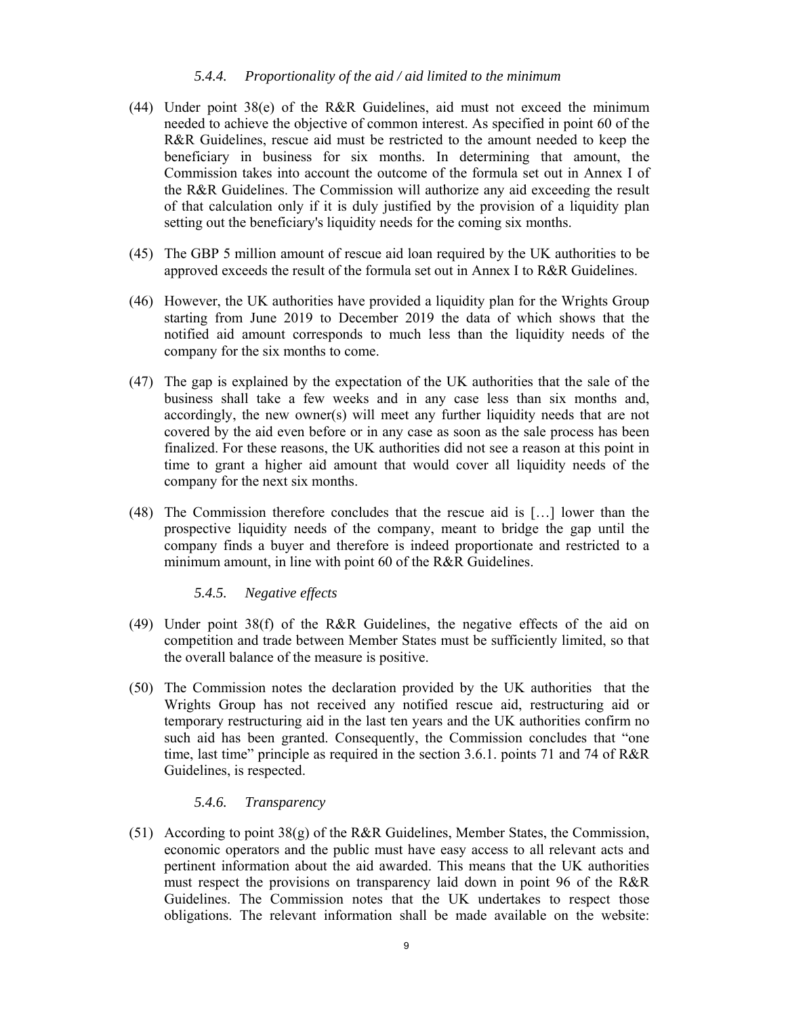#### *5.4.4. Proportionality of the aid / aid limited to the minimum*

- (44) Under point 38(e) of the R&R Guidelines, aid must not exceed the minimum needed to achieve the objective of common interest. As specified in point 60 of the R&R Guidelines, rescue aid must be restricted to the amount needed to keep the beneficiary in business for six months. In determining that amount, the Commission takes into account the outcome of the formula set out in Annex I of the R&R Guidelines. The Commission will authorize any aid exceeding the result of that calculation only if it is duly justified by the provision of a liquidity plan setting out the beneficiary's liquidity needs for the coming six months.
- (45) The GBP 5 million amount of rescue aid loan required by the UK authorities to be approved exceeds the result of the formula set out in Annex I to R&R Guidelines.
- (46) However, the UK authorities have provided a liquidity plan for the Wrights Group starting from June 2019 to December 2019 the data of which shows that the notified aid amount corresponds to much less than the liquidity needs of the company for the six months to come.
- (47) The gap is explained by the expectation of the UK authorities that the sale of the business shall take a few weeks and in any case less than six months and, accordingly, the new owner(s) will meet any further liquidity needs that are not covered by the aid even before or in any case as soon as the sale process has been finalized. For these reasons, the UK authorities did not see a reason at this point in time to grant a higher aid amount that would cover all liquidity needs of the company for the next six months.
- (48) The Commission therefore concludes that the rescue aid is […] lower than the prospective liquidity needs of the company, meant to bridge the gap until the company finds a buyer and therefore is indeed proportionate and restricted to a minimum amount, in line with point 60 of the R&R Guidelines.

#### *5.4.5. Negative effects*

- (49) Under point 38(f) of the R&R Guidelines, the negative effects of the aid on competition and trade between Member States must be sufficiently limited, so that the overall balance of the measure is positive.
- (50) The Commission notes the declaration provided by the UK authorities that the Wrights Group has not received any notified rescue aid, restructuring aid or temporary restructuring aid in the last ten years and the UK authorities confirm no such aid has been granted. Consequently, the Commission concludes that "one time, last time" principle as required in the section 3.6.1. points 71 and 74 of R&R Guidelines, is respected.

### *5.4.6. Transparency*

(51) According to point 38(g) of the R&R Guidelines, Member States, the Commission, economic operators and the public must have easy access to all relevant acts and pertinent information about the aid awarded. This means that the UK authorities must respect the provisions on transparency laid down in point 96 of the R&R Guidelines. The Commission notes that the UK undertakes to respect those obligations. The relevant information shall be made available on the website: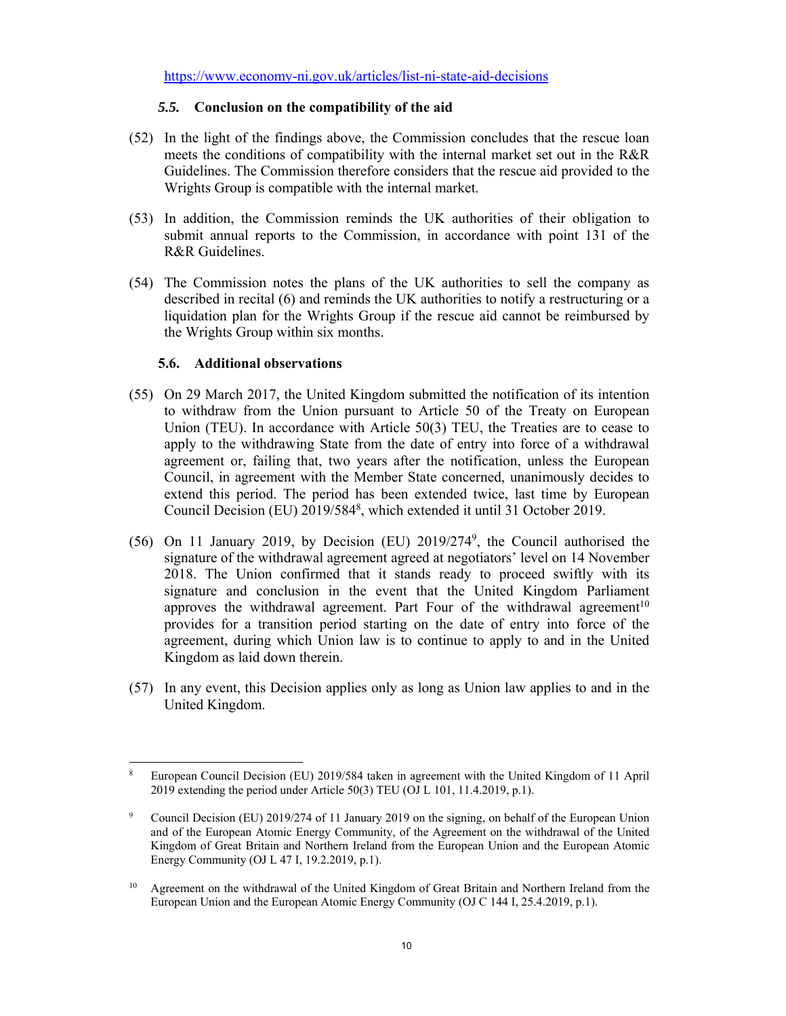https://www.economy-ni.gov.uk/articles/list-ni-state-aid-decisions

## *5.5.* **Conclusion on the compatibility of the aid**

- (52) In the light of the findings above, the Commission concludes that the rescue loan meets the conditions of compatibility with the internal market set out in the R&R Guidelines. The Commission therefore considers that the rescue aid provided to the Wrights Group is compatible with the internal market.
- (53) In addition, the Commission reminds the UK authorities of their obligation to submit annual reports to the Commission, in accordance with point 131 of the R&R Guidelines.
- (54) The Commission notes the plans of the UK authorities to sell the company as described in recital (6) and reminds the UK authorities to notify a restructuring or a liquidation plan for the Wrights Group if the rescue aid cannot be reimbursed by the Wrights Group within six months.

### **5.6. Additional observations**

- (55) On 29 March 2017, the United Kingdom submitted the notification of its intention to withdraw from the Union pursuant to Article 50 of the Treaty on European Union (TEU). In accordance with Article 50(3) TEU, the Treaties are to cease to apply to the withdrawing State from the date of entry into force of a withdrawal agreement or, failing that, two years after the notification, unless the European Council, in agreement with the Member State concerned, unanimously decides to extend this period. The period has been extended twice, last time by European Council Decision (EU) 2019/5848, which extended it until 31 October 2019.
- (56) On 11 January 2019, by Decision (EU) 2019/2749, the Council authorised the signature of the withdrawal agreement agreed at negotiators' level on 14 November 2018. The Union confirmed that it stands ready to proceed swiftly with its signature and conclusion in the event that the United Kingdom Parliament approves the withdrawal agreement. Part Four of the withdrawal agreement<sup>10</sup> provides for a transition period starting on the date of entry into force of the agreement, during which Union law is to continue to apply to and in the United Kingdom as laid down therein.
- (57) In any event, this Decision applies only as long as Union law applies to and in the United Kingdom.

 $\overline{a}$ 8 European Council Decision (EU) 2019/584 taken in agreement with the United Kingdom of 11 April 2019 extending the period under Article 50(3) TEU (OJ L 101, 11.4.2019, p.1).

<sup>9</sup> Council Decision (EU) 2019/274 of 11 January 2019 on the signing, on behalf of the European Union and of the European Atomic Energy Community, of the Agreement on the withdrawal of the United Kingdom of Great Britain and Northern Ireland from the European Union and the European Atomic Energy Community (OJ L 47 I, 19.2.2019, p.1).

<sup>&</sup>lt;sup>10</sup> Agreement on the withdrawal of the United Kingdom of Great Britain and Northern Ireland from the European Union and the European Atomic Energy Community (OJ C 144 I, 25.4.2019, p.1).